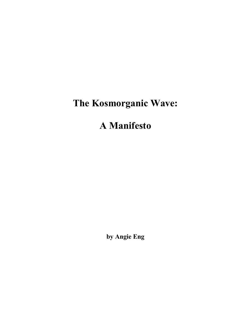# **The Kosmorganic Wave:**

# **A Manifesto**

**by Angie Eng**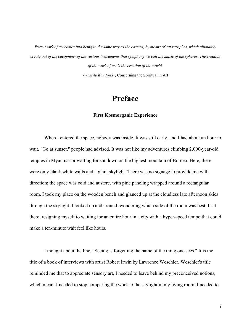*Every work of art comes into being in the same way as the cosmos, by means of catastrophes, which ultimately create out of the cacophony of the various instruments that symphony we call the music of the spheres. The creation of the work of art is the creation of the world. -Wassily Kandinsky,* Concerning the Spiritual in Art

**Preface**

## **First Kosmorganic Experience**

When I entered the space, nobody was inside. It was still early, and I had about an hour to wait. "Go at sunset," people had advised. It was not like my adventures climbing 2,000-year-old temples in Myanmar or waiting for sundown on the highest mountain of Borneo. Here, there were only blank white walls and a giant skylight. There was no signage to provide me with direction; the space was cold and austere, with pine paneling wrapped around a rectangular room. I took my place on the wooden bench and glanced up at the cloudless late afternoon skies through the skylight. I looked up and around, wondering which side of the room was best. I sat there, resigning myself to waiting for an entire hour in a city with a hyper-speed tempo that could make a ten-minute wait feel like hours.

I thought about the line, "Seeing is forgetting the name of the thing one sees." It is the title of a book of interviews with artist Robert Irwin by Lawrence Weschler. Weschler's title reminded me that to appreciate sensory art, I needed to leave behind my preconceived notions, which meant I needed to stop comparing the work to the skylight in my living room. I needed to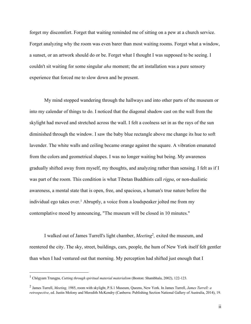forget my discomfort. Forget that waiting reminded me of sitting on a pew at a church service. Forget analyzing why the room was even barer than most waiting rooms. Forget what a window, a sunset, or an artwork should do or be. Forget what I thought I was supposed to be seeing. I couldn't sit waiting for some singular *aha* moment; the art installation was a pure sensory experience that forced me to slow down and be present.

My mind stopped wandering through the hallways and into other parts of the museum or into my calendar of things to do. I noticed that the diagonal shadow cast on the wall from the skylight had moved and stretched across the wall. I felt a coolness set in as the rays of the sun diminished through the window. I saw the baby blue rectangle above me change its hue to soft lavender. The white walls and ceiling became orange against the square. A vibration emanated from the colors and geometrical shapes. I was no longer waiting but being. My awareness gradually shifted away from myself, my thoughts, and analyzing rather than sensing. I felt as if I was part of the room. This condition is what Tibetan Buddhists call *rigpa*, or non-dualistic awareness, a mental state that is open, free, and spacious, a human's true nature before the individual ego takes over.<sup>1</sup> Abruptly, a voice from a loudspeaker jolted me from my contemplative mood by announcing, "The museum will be closed in 10 minutes."

I walked out of James Turrell's light chamber, *Meeting*<sup>2</sup>*,* exited the museum, and reentered the city. The sky, street, buildings, cars, people, the hum of New York itself felt gentler than when I had ventured out that morning. My perception had shifted just enough that I

<sup>1</sup> Chögyam Trungpa, *Cutting through spiritual material materialism* (Boston: Shambhala, 2002), 122-123.

<sup>2</sup> James Turrell, *Meeting,* 1985, room with skylight, P.S.1 Museum, Queens, New York. In James Turrell, *James Turrell: a retrospective*, ed. Justin Molony and Meredith McKendry (Canberra: Publishing Section National Gallery of Australia, 2014), 19.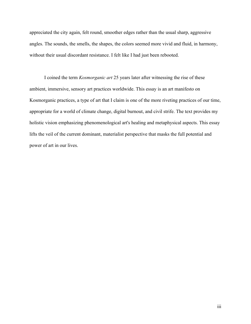appreciated the city again, felt round, smoother edges rather than the usual sharp, aggressive angles. The sounds, the smells, the shapes, the colors seemed more vivid and fluid, in harmony, without their usual discordant resistance. I felt like I had just been rebooted.

I coined the term *Kosmorganic art* 25 years later after witnessing the rise of these ambient, immersive, sensory art practices worldwide. This essay is an art manifesto on Kosmorganic practices, a type of art that I claim is one of the more riveting practices of our time, appropriate for a world of climate change, digital burnout, and civil strife. The text provides my holistic vision emphasizing phenomenological art's healing and metaphysical aspects. This essay lifts the veil of the current dominant, materialist perspective that masks the full potential and power of art in our lives.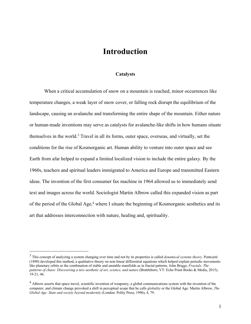# **Introduction**

### **Catalysts**

When a critical accumulation of snow on a mountain is reached, minor occurrences like temperature changes, a weak layer of snow cover, or falling rock disrupt the equilibrium of the landscape, causing an avalanche and transforming the entire shape of the mountain. Either nature or human-made inventions may serve as catalysts for avalanche-like shifts in how humans situate themselves in the world.3 Travel in all its forms, outer space, overseas, and virtually, set the conditions for the rise of Kosmorganic art. Human ability to venture into outer space and see Earth from afar helped to expand a limited localized vision to include the entire galaxy. By the 1960s, teachers and spiritual leaders immigrated to America and Europe and transmitted Eastern ideas. The invention of the first consumer fax machine in 1964 allowed us to immediately send text and images across the world. Sociologist Martin Albrow called this expanded vision as part of the period of the Global Age,<sup>4</sup> where I situate the beginning of Kosmorganic aesthetics and its art that addresses interconnection with nature, healing and, spirituality.

<sup>3</sup> This concept of analyzing a system changing over time and not by its properties is called *dynamical systems theory*. Pontcairé (1890) developed this method, a qualitative theory on non-linear differential equations which helped explain periodic movements like planetary orbits or the combination of stable and unstable manifolds as in fractal patterns. John Briggs, *Fractals: The patterns of chaos: Discovering a new aesthetic of art, science, and nature* (Brattleboro, VT: Echo Point Books & Media, 2015), 19-21, 46.

<sup>&</sup>lt;sup>4</sup> Albrow asserts that space travel, scientific invention of weaponry, a global communications system with the invention of the computer, and climate change provoked a shift in perceptual scope that he calls *globality* or the Global Age. Martin Albrow, *The Global Age: State and society beyond modernity* (London: Polity Press, 1996), 4, 79.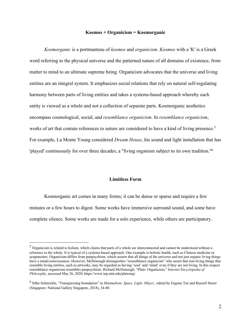#### **Kosmos + Organicism = Kosmorganic**

*Kosmorganic* is a portmanteau of *kosmos* and *organicism*. *Kosmos* with a 'K' is a Greek word referring to the physical universe and the patterned nature of all domains of existence, from matter to mind to an ultimate supreme being. Organicism advocates that the universe and living entities are an integral system. It emphasizes social relations that rely on natural self-regulating harmony between parts of living entities and takes a systems-based approach whereby each entity is viewed as a whole and not a collection of separate parts. Kosmorganic aesthetics encompass cosmological, social, and *resemblance organicism*. In *resemblance organicism*, works of art that contain references to nature are considered to have a kind of living presence.<sup>5</sup> For example, La Monte Young considered *Dream House*, his sound and light installation that has 'played' continuously for over three decades, a "living organism subject to its own tradition."6

#### **Limitless Form**

Kosmorganic art comes in many forms; it can be dense or sparse and require a few minutes or a few hours to digest. Some works have immersive surround sound, and some have complete silence. Some works are made for a solo experience, while others are participatory.

<sup>5</sup> Organicism is related to holism*,* which claims that parts of a whole are interconnected and cannot be understood without a reference to the whole. It is typical of a systems-based approach. One example is holistic health, such as Chinese medicine or acupuncture. Organicism differs from panpsychism*,* which asserts that all things of the universe and not just organic living things have a mind/consciousness. However, McDonough distinguishes "resemblance organicists" who assert that non-living things that resemble living entities, such as artworks, may be regarded as having 'soul' and 'mind' even if they are not living. In this respect resemblance organicism resembles panpsychism. Richard McDonough, "Plato: Organicism," *Internet Encyclopedia of Philosophy*, accessed May 26, 2020, https://www.iep.utm.edu/platoorg/.

<sup>6</sup> Silke Schmickle, "Transgressing boundaries" in *Minimalism: Space. Light. Object.,* edited by Eugene Tan and Russell Storer (Singapore: National Gallery Singapore, 2018), 34-40.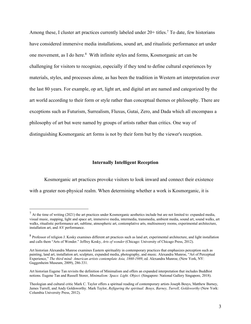Among these, I cluster art practices currently labeled under  $20+$  titles.<sup>7</sup> To date, few historians have considered immersive media installations, sound art, and ritualistic performance art under one movement, as I do here.8 With infinite styles and forms, Kosmorganic art can be challenging for visitors to recognize, especially if they tend to define cultural experiences by materials, styles, and processes alone, as has been the tradition in Western art interpretation over the last 80 years. For example, op art, light art, and digital art are named and categorized by the art world according to their form or style rather than conceptual themes or philosophy. There are exceptions such as Futurism, Surrealism, Fluxus, Gutai, Zero, and Dada which all encompass a philosophy of art but were named by groups of artists rather than critics. One way of distinguishing Kosmorganic art forms is not by their form but by the viewer's reception.

## **Internally Intelligent Reception**

Kosmorganic art practices provoke visitors to look inward and connect their existence with a greater non-physical realm. When determining whether a work is Kosmorganic, it is

 $<sup>7</sup>$  At the time of writing (2021) the art practices under Kosmorganic aesthetics include but are not limited to: expanded media,</sup> visual music, mapping, light and space art, immersive media, intermedia, transmedia, ambient media, sound art, sound walks, art walks, ritualistic performance art, sublime, atmospheric art, contemplative arts, multisensory rooms, experimental architecture, installation art, and AV performance.

<sup>&</sup>lt;sup>8</sup> Professor of religion J. Kosky examines different art practices such as land art, experimental architecture, and light installation and calls them "Arts of Wonder." Jeffrey Kosky, *Arts of wonder* (Chicago: University of Chicago Press, 2012).

Art historian Alexandra Munroe examines Eastern spirituality in contemporary practices that emphasizes perception such as painting, land art, installation art, sculpture, expanded media, photography, and music. Alexandra Munroe, "Art of Perceptual Experience," *The third mind: American artists contemplate Asia, 1860-1989*, ed. Alexandra Munroe, (New York, NY: Guggenheim Museum, 2009), 286-331.

Art historian Eugene Tan revisits the definition of Minimalism and offers an expanded interpretation that includes Buddhist notions. Eugene Tan and Russell Storer, *Minimalism: Space. Light. Object*. (Singapore: National Gallery Singapore, 2018).

Theologian and cultural critic Mark C. Taylor offers a spiritual reading of contemporary artists Joseph Beuys, Matthew Barney, James Turrell, and Andy Goldsworthy. Mark Taylor, *Refiguring the spiritual: Beuys, Barney, Turrell, Goldsworthy* (New York: Columbia University Press, 2012).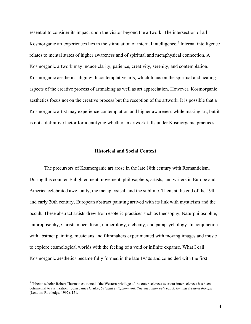essential to consider its impact upon the visitor beyond the artwork. The intersection of all Kosmorganic art experiences lies in the stimulation of internal intelligence*.* <sup>9</sup> Internal intelligence relates to mental states of higher awareness and of spiritual and metaphysical connection. A Kosmorganic artwork may induce clarity, patience, creativity, serenity, and contemplation. Kosmorganic aesthetics align with contemplative arts, which focus on the spiritual and healing aspects of the creative process of artmaking as well as art appreciation. However, Kosmorganic aesthetics focus not on the creative process but the reception of the artwork. It is possible that a Kosmorganic artist may experience contemplation and higher awareness while making art, but it is not a definitive factor for identifying whether an artwork falls under Kosmorganic practices.

## **Historical and Social Context**

The precursors of Kosmorganic art arose in the late 18th century with Romanticism. During this counter-Enlightenment movement, philosophers, artists, and writers in Europe and America celebrated awe, unity, the metaphysical, and the sublime. Then, at the end of the 19th and early 20th century, European abstract painting arrived with its link with mysticism and the occult. These abstract artists drew from esoteric practices such as theosophy, Naturphilosophie, anthroposophy, Christian occultism, numerology, alchemy, and parapsychology. In conjunction with abstract painting, musicians and filmmakers experimented with moving images and music to explore cosmological worlds with the feeling of a void or infinite expanse. What I call Kosmorganic aesthetics became fully formed in the late 1950s and coincided with the first

<sup>&</sup>lt;sup>9</sup> Tibetan scholar Robert Thurman cautioned, "the Western privilege of the outer sciences over our inner sciences has been detrimental to civilization." John James Clarke, *Oriental enlightenment: The encounter between Asian and Western thought* (London: Routledge, 1997), 151.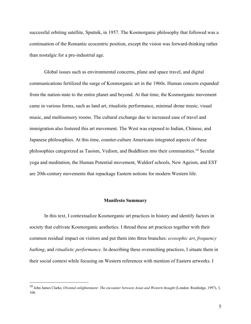successful orbiting satellite, Sputnik, in 1957. The Kosmorganic philosophy that followed was a continuation of the Romantic ecocentric position, except the vision was forward-thinking rather than nostalgic for a pre-industrial age.

Global issues such as environmental concerns, plane and space travel, and digital communications fertilized the surge of Kosmorganic art in the 1960s. Human concern expanded from the nation-state to the entire planet and beyond. At that time, the Kosmorganic movement came in various forms, such as land art, ritualistic performance, minimal drone music, visual music, and multisensory rooms. The cultural exchange due to increased ease of travel and immigration also fostered this art movement. The West was exposed to Indian, Chinese, and Japanese philosophies. At this time, counter-culture Americans integrated aspects of these philosophies categorized as Taoism, Vedism, and Buddhism into their communities.10 Secular yoga and meditation, the Human Potential movement, Waldorf schools, New Ageism, and EST are 20th-century movements that repackage Eastern notions for modern Western life.

### **Manifesto Summary**

In this text, I contextualize Kosmorganic art practices in history and identify factors in society that cultivate Kosmorganic aesthetics. I thread these art practices together with their common residual impact on visitors and put them into three branches: *ecosophic art*, *frequency bathing*, and *ritualistic performance*. In describing these overarching practices, I situate them in their social context while focusing on Western references with mention of Eastern artworks. I

<sup>&</sup>lt;sup>10</sup> John James Clarke, *Oriental enlightenment: The encounter between Asian and Western thought* (London: Routledge, 1997), 3, 108.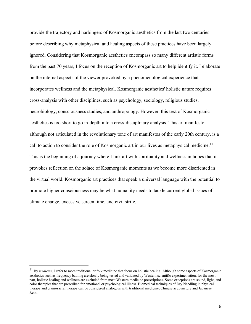provide the trajectory and harbingers of Kosmorganic aesthetics from the last two centuries before describing why metaphysical and healing aspects of these practices have been largely ignored. Considering that Kosmorganic aesthetics encompass so many different artistic forms from the past 70 years, I focus on the reception of Kosmorganic art to help identify it. I elaborate on the internal aspects of the viewer provoked by a phenomenological experience that incorporates wellness and the metaphysical. Kosmorganic aesthetics' holistic nature requires cross-analysis with other disciplines, such as psychology, sociology, religious studies, neurobiology, consciousness studies, and anthropology. However, this text of Kosmorganic aesthetics is too short to go in-depth into a cross-disciplinary analysis. This art manifesto, although not articulated in the revolutionary tone of art manifestos of the early 20th century, is a call to action to consider the role of Kosmorganic art in our lives as metaphysical medicine.<sup>11</sup> This is the beginning of a journey where I link art with spirituality and wellness in hopes that it provokes reflection on the solace of Kosmorganic moments as we become more disoriented in the virtual world. Kosmorganic art practices that speak a universal language with the potential to promote higher consciousness may be what humanity needs to tackle current global issues of climate change, excessive screen time, and civil strife.

<sup>&</sup>lt;sup>11</sup> Bv *medicine*, I refer to more traditional or folk medicine that focus on holistic healing. Although some aspects of Kosmorganic aesthetics such as frequency bathing are slowly being tested and validated by Western scientific experimentation, for the most part, holistic healing and wellness are excluded from most Western medicine prescriptions. Some exceptions are sound, light, and color therapies that are prescribed for emotional or psychological illness. Biomedical techniques of Dry Needling in physical therapy and craniosacral therapy can be considered analogous with traditional medicine, Chinese acupuncture and Japanese Reiki.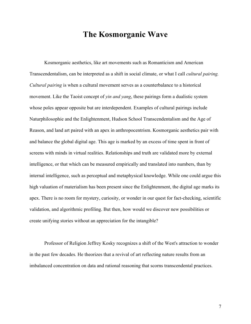# **The Kosmorganic Wave**

Kosmorganic aesthetics, like art movements such as Romanticism and American Transcendentalism, can be interpreted as a shift in social climate, or what I call *cultural pairing. Cultural pairing* is when a cultural movement serves as a counterbalance to a historical movement. Like the Taoist concept of *yin and yang*, these pairings form a dualistic system whose poles appear opposite but are interdependent. Examples of cultural pairings include Naturphilosophie and the Enlightenment, Hudson School Transcendentalism and the Age of Reason, and land art paired with an apex in anthropocentrism. Kosmorganic aesthetics pair with and balance the global digital age. This age is marked by an excess of time spent in front of screens with minds in virtual realities. Relationships and truth are validated more by external intelligence, or that which can be measured empirically and translated into numbers, than by internal intelligence, such as perceptual and metaphysical knowledge. While one could argue this high valuation of materialism has been present since the Enlightenment, the digital age marks its apex. There is no room for mystery, curiosity, or wonder in our quest for fact-checking, scientific validation, and algorithmic profiling. But then, how would we discover new possibilities or create unifying stories without an appreciation for the intangible?

Professor of Religion Jeffrey Kosky recognizes a shift of the West's attraction to wonder in the past few decades*.* He theorizes that a revival of art reflecting nature results from an imbalanced concentration on data and rational reasoning that scorns transcendental practices.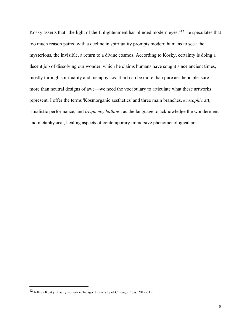Kosky asserts that "the light of the Enlightenment has blinded modern eyes."12 He speculates that too much reason paired with a decline in spirituality prompts modern humans to seek the mysterious, the invisible, a return to a divine cosmos. According to Kosky, certainty is doing a decent job of dissolving our wonder, which he claims humans have sought since ancient times, mostly through spirituality and metaphysics. If art can be more than pure aesthetic pleasure more than neutral designs of awe—we need the vocabulary to articulate what these artworks represent. I offer the terms 'Kosmorganic aesthetics' and three main branches, *ecosophic* art, ritualistic performance, and *frequency bathing*, as the language to acknowledge the wonderment and metaphysical, healing aspects of contemporary immersive phenomenological art.

<sup>12</sup> Jeffrey Kosky, *Arts of wonder* (Chicago: University of Chicago Press, 2012), 15.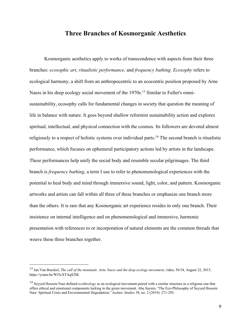# **Three Branches of Kosmorganic Aesthetics**

Kosmorganic aesthetics apply to works of transcendence with aspects from their three branches: *ecosophic art*, *ritualistic performance,* and *frequency bathing. Ecosophy* refers to ecological harmony, a shift from an anthropocentric to an ecocentric position proposed by Arne Naess in his deep ecology social movement of the 1970s.<sup>13</sup> Similar to Fuller's omnisustainability, ecosophy calls for fundamental changes in society that question the meaning of life in balance with nature. It goes beyond shallow reformist sustainability action and explores spiritual, intellectual, and physical connection with the cosmos. Its followers are devoted almost religiously to a respect of holistic systems over individual parts.<sup>14</sup> The second branch is ritualistic performance, which focuses on ephemeral participatory actions led by artists in the landscape. These performances help unify the social body and resemble secular pilgrimages. The third branch is *frequency bathing*, a term I use to refer to phenomenological experiences with the potential to heal body and mind through immersive sound, light, color, and pattern. Kosmorganic artworks and artists can fall within all three of these branches or emphasize one branch more than the others. It is rare that any Kosmorganic art experience resides in only one branch. Their insistence on internal intelligence and on phenomenological and immersive, harmonic presentation with references to or incorporation of natural elements are the common threads that weave these three branches together.

<sup>13</sup> Jan Van Boeckel, *The call of the mountain: Arne Naess and the deep ecology movement*, video, 50:54, August 22, 2015, https://youtu.be/Wf3cXTAqS2M.

<sup>14</sup> Seyyed Hossein Nasr defined *ecotheology* as an ecological movement paired with a similar structure as a religious one that offers ethical and emotional components lacking in the green movement. Abu Sayem, "The Eco-Philosophy of Seyyed Hossein Nasr: Spiritual Crisis and Environmental Degradation," *Isalmic Studies* 58, no. 2 (2019): 271-295.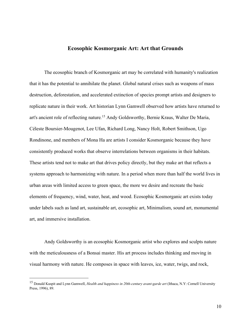# **Ecosophic Kosmorganic Art: Art that Grounds**

The ecosophic branch of Kosmorganic art may be correlated with humanity's realization that it has the potential to annihilate the planet. Global natural crises such as weapons of mass destruction, deforestation, and accelerated extinction of species prompt artists and designers to replicate nature in their work. Art historian Lynn Gamwell observed how artists have returned to art's ancient role of reflecting nature*.* <sup>15</sup> Andy Goldsworthy, Bernie Kraus, Walter De Maria, Céleste Boursier-Mougenot, Lee Ufan, Richard Long, Nancy Holt, Robert Smithson, Ugo Rondinone, and members of Mona Ha are artists I consider Kosmorganic because they have consistently produced works that observe interrelations between organisms in their habitats. These artists tend not to make art that drives policy directly, but they make art that reflects a systems approach to harmonizing with nature. In a period when more than half the world lives in urban areas with limited access to green space, the more we desire and recreate the basic elements of frequency, wind, water, heat, and wood. Ecosophic Kosmorganic art exists today under labels such as land art, sustainable art, ecosophic art, Minimalism, sound art, monumental art, and immersive installation.

Andy Goldsworthy is an ecosophic Kosmorganic artist who explores and sculpts nature with the meticulousness of a Bonsai master. His art process includes thinking and moving in visual harmony with nature. He composes in space with leaves, ice, water, twigs, and rock,

<sup>15</sup> Donald Kuspit and Lynn Gamwell, *Health and happiness in 20th-century avant-garde art* (Ithaca, N.Y: Cornell University Press, 1996), 89.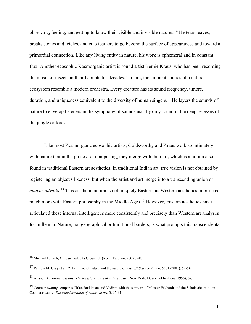observing, feeling, and getting to know their visible and invisible natures.16 He tears leaves, breaks stones and icicles, and cuts feathers to go beyond the surface of appearances and toward a primordial connection. Like any living entity in nature, his work is ephemeral and in constant flux. Another ecosophic Kosmorganic artist is sound artist Bernie Kraus, who has been recording the music of insects in their habitats for decades. To him, the ambient sounds of a natural ecosystem resemble a modern orchestra. Every creature has its sound frequency, timbre, duration, and uniqueness equivalent to the diversity of human singers.<sup>17</sup> He layers the sounds of nature to envelop listeners in the symphony of sounds usually only found in the deep recesses of the jungle or forest.

Like most Kosmorganic ecosophic artists, Goldsworthy and Kraus work so intimately with nature that in the process of composing, they merge with their art, which is a notion also found in traditional Eastern art aesthetics. In traditional Indian art, true vision is not obtained by registering an object's likeness, but when the artist and art merge into a transcending union or *anayor advaita.*<sup>18</sup> This aesthetic notion is not uniquely Eastern, as Western aesthetics intersected much more with Eastern philosophy in the Middle Ages.<sup>19</sup> However, Eastern aesthetics have articulated these internal intelligences more consistently and precisely than Western art analyses for millennia. Nature, not geographical or traditional borders, is what prompts this transcendental

<sup>16</sup> Michael Lailach, *Land art*, ed. Uta Grosenick (Köln: Taschen, 2007), 48.

<sup>17</sup> Patricia M. Gray et al., "The music of nature and the nature of music," *Science* 29, no. 5501 (2001): 52-54.

<sup>18</sup> Ananda K.Coomaraswamy, *The transformation of nature in art* (New York: Dover Publications, 1956), 6-7.

 $19$  Coomaraswamy compares Ch'an Buddhism and Vedism with the sermons of Meister Eckhardt and the Scholastic tradition. Coomaraswamy, *The transformation of nature in art*, 3, 65-91.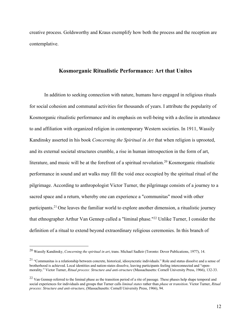creative process. Goldsworthy and Kraus exemplify how both the process and the reception are contemplative.

# **Kosmorganic Ritualistic Performance: Art that Unites**

In addition to seeking connection with nature, humans have engaged in religious rituals for social cohesion and communal activities for thousands of years. I attribute the popularity of Kosmorganic ritualistic performance and its emphasis on well-being with a decline in attendance to and affiliation with organized religion in contemporary Western societies. In 1911, Wassily Kandinsky asserted in his book *Concerning the Spiritual in Art* that when religion is uprooted, and its external societal structures crumble, a rise in human introspection in the form of art, literature, and music will be at the forefront of a spiritual revolution.<sup>20</sup> Kosmorganic ritualistic performance in sound and art walks may fill the void once occupied by the spiritual ritual of the pilgrimage. According to anthropologist Victor Turner, the pilgrimage consists of a journey to a sacred space and a return, whereby one can experience a "communitas" mood with other participants.21 One leaves the familiar world to explore another dimension, a ritualistic journey that ethnographer Arthur Van Gennep called a "liminal phase."22 Unlike Turner, I consider the definition of a ritual to extend beyond extraordinary religious ceremonies. In this branch of

<sup>20</sup> Wassily Kandinsky, *Concerning the spiritual in art*, trans. Michael Sadleir (Toronto: Dover Publications, 1977), 14.

 $21$  "Communitas is a relationship between concrete, historical, idiosyncratic individuals." Role and status dissolve and a sense of brotherhood is achieved. Local identities and nation-states dissolve, leaving participants feeling interconnected and "openmorality." Victor Turner, *Ritual process: Structure and anti-structure* (Massachusetts: Cornell University Press, 1966), 132-33.

<sup>&</sup>lt;sup>22</sup> Van Gennep referred to the liminal phase as the transition period of a rite of passage. These phases help shape temporal and social experiences for individuals and groups that Turner calls *liminal states* rather than *phase* or *transition*. Victor Turner, *Ritual process: Structure and anti-structure*, (Massachusetts: Cornell University Press, 1966), 94.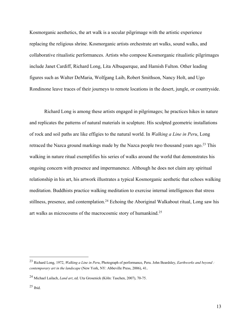Kosmorganic aesthetics, the art walk is a secular pilgrimage with the artistic experience replacing the religious shrine. Kosmorganic artists orchestrate art walks, sound walks, and collaborative ritualistic performances. Artists who compose Kosmorganic ritualistic pilgrimages include Janet Cardiff, Richard Long, Lita Albuquerque, and Hamish Fulton. Other leading figures such as Walter DeMaria, Wolfgang Laib, Robert Smithson, Nancy Holt, and Ugo Rondinone leave traces of their journeys to remote locations in the desert, jungle, or countryside.

Richard Long is among these artists engaged in pilgrimages; he practices hikes in nature and replicates the patterns of natural materials in sculpture. His sculpted geometric installations of rock and soil paths are like effigies to the natural world. In *Walking a Line in Peru*, Long retraced the Nazca ground markings made by the Nazca people two thousand years ago.<sup>23</sup> This walking in nature ritual exemplifies his series of walks around the world that demonstrates his ongoing concern with presence and impermanence. Although he does not claim any spiritual relationship in his art, his artwork illustrates a typical Kosmorganic aesthetic that echoes walking meditation. Buddhists practice walking meditation to exercise internal intelligences that stress stillness, presence, and contemplation.<sup>24</sup> Echoing the Aboriginal Walkabout ritual, Long saw his art walks as microcosms of the macrocosmic story of humankind.25

<sup>23</sup> Richard Long, 1972, *Walking a Line in Peru*, Photograph of performance, Peru. John Beardsley, *Earthworks and beyond : contemporary art in the landscape* (New York, NY: Abbeville Press, 2006), 41.

<sup>24</sup> Michael Lailach, *Land art*, ed. Uta Grosenick (Köln: Taschen, 2007), 70-75.

 $25$  Ibid.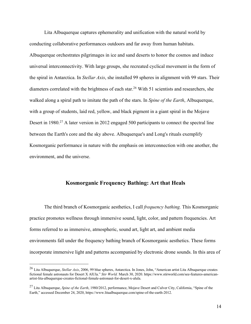Lita Albuquerque captures ephemerality and unification with the natural world by conducting collaborative performances outdoors and far away from human habitats. Albuquerque orchestrates pilgrimages in ice and sand deserts to honor the cosmos and induce universal interconnectivity. With large groups, she recreated cyclical movement in the form of the spiral in Antarctica. In *Stellar Axis*, she installed 99 spheres in alignment with 99 stars. Their diameters correlated with the brightness of each star.<sup>26</sup> With 51 scientists and researchers, she walked along a spiral path to imitate the path of the stars. In *Spine of the Earth*, Albuquerque, with a group of students, laid red, yellow, and black pigment in a giant spiral in the Mojave Desert in 1980.<sup>27</sup> A later version in 2012 engaged 500 participants to connect the spectral line between the Earth's core and the sky above. Albuquerque's and Long's rituals exemplify Kosmorganic performance in nature with the emphasis on interconnection with one another, the environment, and the universe.

# **Kosmorganic Frequency Bathing: Art that Heals**

The third branch of Kosmorganic aesthetics, I call *frequency bathing.* This Kosmorganic practice promotes wellness through immersive sound, light, color, and pattern frequencies. Art forms referred to as immersive, atmospheric, sound art, light art, and ambient media environments fall under the frequency bathing branch of Kosmorganic aesthetics. These forms incorporate immersive light and patterns accompanied by electronic drone sounds. In this area of

<sup>26</sup> Lita Albuquerque, *Stellar Axis*, 2006, 99 blue spheres, Antarctica. In Jones, John, "American artist Lita Albuquerque creates fictional female astronauts for Desert X AlUla." *Stir World.* March 30, 2020. https://www.stirworld.com/see-features-americanartist-lita-albuquerque-creates-fictional-female-astronaut-for-desert-x-alula.

<sup>27</sup> Lita Albuquerque, *Spine of the Earth*, 1980/2012, performance, Mojave Desert and Culver City, California, "Spine of the Earth," accessed December 24, 2020, https://www.litaalbuquerque.com/spine-of-the-earth-2012.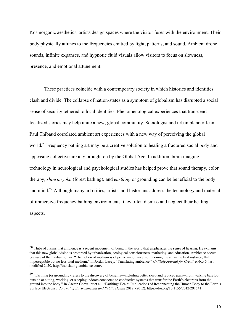Kosmorganic aesthetics, artists design spaces where the visitor fuses with the environment. Their body physically attunes to the frequencies emitted by light, patterns, and sound. Ambient drone sounds, infinite expanses, and hypnotic fluid visuals allow visitors to focus on slowness, presence, and emotional attunement.

These practices coincide with a contemporary society in which histories and identities clash and divide. The collapse of nation-states as a symptom of globalism has disrupted a social sense of security tethered to local identities. Phenomenological experiences that transcend localized stories may help unite a new, global community. Sociologist and urban planner Jean-Paul Thibaud correlated ambient art experiences with a new way of perceiving the global world.<sup>28</sup> Frequency bathing art may be a creative solution to healing a fractured social body and appeasing collective anxiety brought on by the Global Age. In addition, brain imaging technology in neurological and psychological studies has helped prove that sound therapy, color therapy, *shinrin-yoku* (forest bathing)*,* and *earthing* or grounding can be beneficial to the body and mind.29 Although many art critics, artists, and historians address the technology and material of immersive frequency bathing environments, they often dismiss and neglect their healing aspects.

<sup>&</sup>lt;sup>28</sup> Thibaud claims that ambience is a recent movement of being in the world that emphasizes the sense of hearing. He explains that this new global vision is prompted by urbanization, ecological consciousness, marketing, and education. Ambience occurs because of the medium of air. "The notion of medium is of prime importance, summoning the air in the first instance, that imperceptible but no less vital medium." In Jordan Lacey, "Translating ambience," *Unlikely Journal for Creative Arts* 6, last modified 2020, http://translating-ambiance.com/.

<sup>&</sup>lt;sup>29</sup> "Earthing (or grounding) refers to the discovery of benefits—including better sleep and reduced pain—from walking barefoot outside or sitting, working, or sleeping indoors connected to conductive systems that transfer the Earth's electrons from the ground into the body." In Gaétan Chevalier et al., "Earthing: Health Implications of Reconnecting the Human Body to the Earth's Surface Electrons," *Journal of Environmental and Public Health* 2012, (2012). https://doi.org/10.1155/2012/291541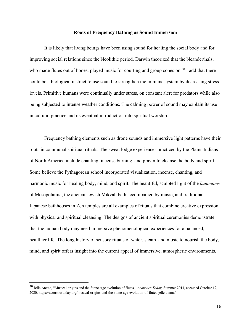#### **Roots of Frequency Bathing as Sound Immersion**

It is likely that living beings have been using sound for healing the social body and for improving social relations since the Neolithic period. Darwin theorized that the Neanderthals, who made flutes out of bones, played music for courting and group cohesion.<sup>30</sup> I add that there could be a biological instinct to use sound to strengthen the immune system by decreasing stress levels. Primitive humans were continually under stress, on constant alert for predators while also being subjected to intense weather conditions. The calming power of sound may explain its use in cultural practice and its eventual introduction into spiritual worship.

Frequency bathing elements such as drone sounds and immersive light patterns have their roots in communal spiritual rituals. The sweat lodge experiences practiced by the Plains Indians of North America include chanting, incense burning, and prayer to cleanse the body and spirit. Some believe the Pythagorean school incorporated visualization, incense, chanting, and harmonic music for healing body, mind, and spirit. The beautiful, sculpted light of the *hammams* of Mesopotamia, the ancient Jewish Mikvah bath accompanied by music, and traditional Japanese bathhouses in Zen temples are all examples of rituals that combine creative expression with physical and spiritual cleansing. The designs of ancient spiritual ceremonies demonstrate that the human body may need immersive phenomenological experiences for a balanced, healthier life. The long history of sensory rituals of water, steam, and music to nourish the body, mind, and spirit offers insight into the current appeal of immersive, atmospheric environments.

<sup>30</sup> Jelle Atema, "Musical origins and the Stone Age evolution of flutes," *Acoustics Today,* Summer 2014, accessed October 19, 2020, https://acousticstoday.org/musical-origins-and-the-stone-age-evolution-of-flutes-jelle-atema/.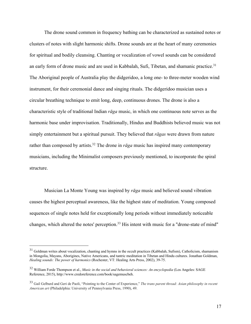The drone sound common in frequency bathing can be characterized as sustained notes or clusters of notes with slight harmonic shifts. Drone sounds are at the heart of many ceremonies for spiritual and bodily cleansing. Chanting or vocalization of vowel sounds can be considered an early form of drone music and are used in Kabbalah, Sufi, Tibetan, and shamanic practice.<sup>31</sup> The Aboriginal people of Australia play the didgeridoo, a long one- to three-meter wooden wind instrument, for their ceremonial dance and singing rituals. The didgeridoo musician uses a circular breathing technique to emit long, deep, continuous drones. The drone is also a characteristic style of traditional Indian *rāga* music, in which one continuous note serves as the harmonic base under improvisation. Traditionally, Hindus and Buddhists believed music was not simply entertainment but a spiritual pursuit. They believed that *rāgas* were drawn from nature rather than composed by artists.<sup>32</sup> The drone in  $r\bar{a}g a$  music has inspired many contemporary musicians, including the Minimalist composers previously mentioned, to incorporate the spiral structure.

Musician La Monte Young was inspired by *rāga* music and believed sound vibration causes the highest perceptual awareness, like the highest state of meditation. Young composed sequences of single notes held for exceptionally long periods without immediately noticeable changes, which altered the notes' perception.<sup>33</sup> His intent with music for a "drone-state of mind"

 $31$  Goldman writes about vocalization, chanting and hymns in the occult practices (Kabbalah, Sufism), Catholicism, shamanism in Mongolia, Mayans, Aborigines, Native Americans, and tantric meditation in Tibetan and Hindu cultures. Jonathan Goldman, *Healing sounds: The power of harmonics* (Rochester, VT: Healing Arts Press, 2002), 39-75.

<sup>32</sup> William Forde Thompson et al., *Music in the social and behavioral sciences: An encyclopedia* (Los Angeles: SAGE Reference, 2015), http://www.credoreference.com/book/sagemuscbeh.

<sup>33</sup> Gail Gelburd and Geri de Paoli, "Pointing to the Center of Experience," *The trans parent thread: Asian philosophy in recent American art* (Philadelphia: University of Pennsylvania Press, 1990), 49.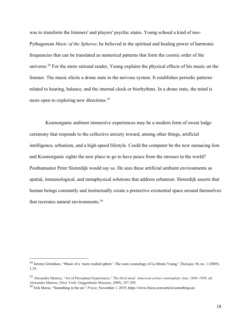was to transform the listeners' and players' psychic states. Young echoed a kind of neo-Pythagorean *Music of the Spheres*; he believed in the spiritual and healing power of harmonic frequencies that can be translated as numerical patterns that form the cosmic order of the universe.34 For the more rational reader, Young explains the physical effects of his music on the listener. The music elicits a drone state in the nervous system. It establishes periodic patterns related to hearing, balance, and the internal clock or biorhythms. In a drone state, the mind is more open to exploring new directions.<sup>35</sup>

Kosmorganic ambient immersive experiences may be a modern form of sweat lodge ceremony that responds to the collective anxiety toward, among other things, artificial intelligence, urbanism, and a high-speed lifestyle. Could the computer be the new menacing lion and Kosmorganic sights the new place to go to have peace from the stresses in the world? Posthumanist Peter Sloterdijk would say so. He sees these artificial ambient environments as spatial, immunological, and metaphysical solutions that address urbanism. Sloterdijk asserts that human beings constantly and instinctually create a protective existential space around themselves that recreates natural environments.36

<sup>34</sup> Jeremy Grimshaw, "Music of a 'more exalted sphere': The sonic cosmology of La Monte Young," *Dialogue* 38, no. 1 (2005). 1-35.

<sup>35</sup> Alexandra Munroe, "Art of Perceptual Experiences," *The third mind: American artists contemplate Asia, 1860–1989*, ed. Alexandra Munroe, (New York: Guggenheim Museum, 2009), 287-299.

<sup>36</sup> Erik Morse, "Something in the air," *Frieze*, November 1, 2019, https://www.frieze.com/article/something-air.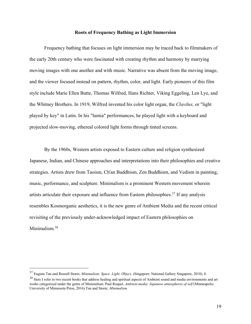### **Roots of Frequency Bathing as Light Immersion**

Frequency bathing that focuses on light immersion may be traced back to filmmakers of the early 20th century who were fascinated with creating rhythm and harmony by marrying moving images with one another and with music. Narrative was absent from the moving image, and the viewer focused instead on pattern, rhythm, color, and light. Early pioneers of this film style include Marie Ellen Butte, Thomas Wilfred, Hans Richter, Viking Eggeling, Len Lye, and the Whitney Brothers. In 1919, Wilfred invented his color light organ, the *Clavilux,* or "light played by key" in Latin. In his "lumia" performances, he played light with a keyboard and projected slow-moving, ethereal colored light forms through tinted screens.

By the 1960s, Western artists exposed to Eastern culture and religion synthesized Japanese, Indian, and Chinese approaches and interpretations into their philosophies and creative strategies. Artists drew from Taoism, Ch'an Buddhism, Zen Buddhism, and Vedism in painting, music, performance, and sculpture. Minimalism is a prominent Western movement wherein artists articulate their exposure and influence from Eastern philosophies.37 If any analysis resembles Kosmorganic aesthetics, it is the new genre of Ambient Media and the recent critical revisiting of the previously under-acknowledged impact of Eastern philosophies on Minimalism.38

<sup>37</sup> Eugene Tan and Russell Storer, *Minimalism: Space. Light. Object.* (Singapore: National Gallery Singapore, 2018), 8.

<sup>&</sup>lt;sup>38</sup> Here I refer to two recent books that address healing and spiritual aspects of Ambient sound and media environments and art works categorized under the genre of Minimalism. Paul Roquet, *Ambient media: Japanese atmospheres of self* (Minneapolis: University of Minnesota Press, 2016).Tan and Storer, *Minimalism.*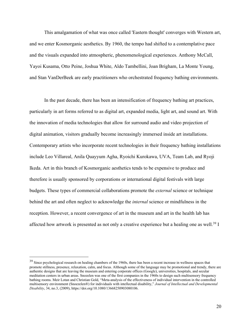This amalgamation of what was once called 'Eastern thought' converges with Western art, and we enter Kosmorganic aesthetics. By 1960, the tempo had shifted to a contemplative pace and the visuals expanded into atmospheric, phenomenological experiences. Anthony McCall, Yayoi Kusama, Otto Peine, Joshua White, Aldo Tambellini, Joan Brigham, La Monte Young, and Stan VanDerBeek are early practitioners who orchestrated frequency bathing environments.

In the past decade, there has been an intensification of frequency bathing art practices, particularly in art forms referred to as digital art, expanded media, light art, and sound art. With the innovation of media technologies that allow for surround audio and video projection of digital animation, visitors gradually become increasingly immersed inside art installations. Contemporary artists who incorporate recent technologies in their frequency bathing installations include Leo Villareal, Anila Quayyum Agha, Ryoichi Kurokawa, UVA, Team Lab, and Ryoji Ikeda. Art in this branch of Kosmorganic aesthetics tends to be expensive to produce and therefore is usually sponsored by corporations or international digital festivals with large budgets. These types of commercial collaborations promote the *external* science or technique behind the art and often neglect to acknowledge the *internal* science or mindfulness in the reception. However, a recent convergence of art in the museum and art in the health lab has affected how artwork is presented as not only a creative experience but a healing one as well.<sup>39</sup> I

 $39$  Since psychological research on healing chambers of the 1960s, there has been a recent increase in wellness spaces that promote stillness, presence, relaxation, calm, and focus. Although some of the language may be promotional and trendy, there are authentic designs that are leaving the museum and entering corporate offices (Google), universities, hospitals, and secular meditation centers in urban areas. Snozelen was one of the first companies in the 1960s to design such multisensory frequency bathing rooms. Meir Lotan and Christian Gold, "Meta-analysis of the effectiveness of individual intervention in the controlled multisensory environment (Snoezelen®) for individuals with intellectual disability," *Journal of Intellectual and Developmental Disability*, 34, no.3, (2009), https://doi.org/10.1080/13668250903080106.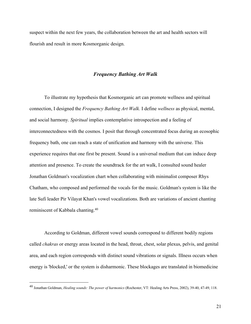suspect within the next few years, the collaboration between the art and health sectors will flourish and result in more Kosmorganic design.

## *Frequency Bathing Art Walk*

To illustrate my hypothesis that Kosmorganic art can promote wellness and spiritual connection, I designed the *Frequency Bathing Art Walk.* I define *wellness* as physical, mental, and social harmony. *Spiritual* implies contemplative introspection and a feeling of interconnectedness with the cosmos. I posit that through concentrated focus during an ecosophic frequency bath, one can reach a state of unification and harmony with the universe. This experience requires that one first be present. Sound is a universal medium that can induce deep attention and presence. To create the soundtrack for the art walk, I consulted sound healer Jonathan Goldman's vocalization chart when collaborating with minimalist composer Rhys Chatham, who composed and performed the vocals for the music. Goldman's system is like the late Sufi leader Pir Vilayat Khan's vowel vocalizations. Both are variations of ancient chanting reminiscent of Kabbala chanting.40

According to Goldman, different vowel sounds correspond to different bodily regions called *chakras* or energy areas located in the head, throat, chest, solar plexus, pelvis, and genital area, and each region corresponds with distinct sound vibrations or signals. Illness occurs when energy is 'blocked,' or the system is disharmonic. These blockages are translated in biomedicine

<sup>40</sup> Jonathan Goldman, *Healing sounds: The power of harmonics* (Rochester, VT: Healing Arts Press, 2002), 39-40, 47-49, 118.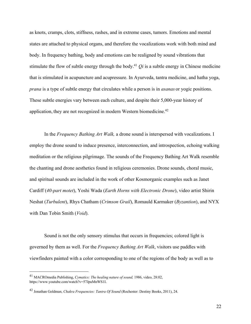as knots, cramps, clots, stiffness, rashes, and in extreme cases, tumors. Emotions and mental states are attached to physical organs, and therefore the vocalizations work with both mind and body. In frequency bathing, body and emotions can be realigned by sound vibrations that stimulate the flow of subtle energy through the body.<sup>41</sup>  $Qi$  is a subtle energy in Chinese medicine that is stimulated in acupuncture and acupressure. In Ayurveda, tantra medicine, and hatha yoga, *prana* is a type of subtle energy that circulates while a person is in *asanas* or yogic positions. These subtle energies vary between each culture, and despite their 5,000-year history of application, they are not recognized in modern Western biomedicine.<sup>42</sup>

In the *Frequency Bathing Art Walk,* a drone sound is interspersed with vocalizations. I employ the drone sound to induce presence, interconnection, and introspection, echoing walking meditation or the religious pilgrimage. The sounds of the Frequency Bathing Art Walk resemble the chanting and drone aesthetics found in religious ceremonies. Drone sounds, choral music, and spiritual sounds are included in the work of other Kosmorganic examples such as Janet Cardiff (*40-part motet*), Yoshi Wada (*Earth Horns with Electronic Drone*), video artist Shirin Neshat (*Turbulent*), Rhys Chatham (*Crimson Grail*), Romauld Karmaker (*Byzantion*), and NYX with Dan Tobin Smith (*Void*).

Sound is not the only sensory stimulus that occurs in frequencies; colored light is governed by them as well. For the *Frequency Bathing Art Walk*, visitors use paddles with viewfinders painted with a color corresponding to one of the regions of the body as well as to

<sup>41</sup> MACROmedia Publishing, *Cymatics: The healing nature of sound,* 1986, video, 28:02, https://www.youtube.com/watch?v=57JpuMnWS1I.

<sup>42</sup> Jonathan Goldman, *Chakra Frequencies: Tantra Of Sound* (Rochester: Destiny Books, 2011), 24.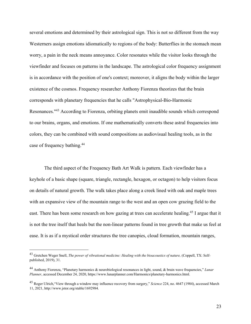several emotions and determined by their astrological sign. This is not so different from the way Westerners assign emotions idiomatically to regions of the body: Butterflies in the stomach mean worry, a pain in the neck means annoyance. Color resonates while the visitor looks through the viewfinder and focuses on patterns in the landscape. The astrological color frequency assignment is in accordance with the position of one's context; moreover, it aligns the body within the larger existence of the cosmos. Frequency researcher Anthony Fiorenza theorizes that the brain corresponds with planetary frequencies that he calls "Astrophysical-Bio-Harmonic Resonances."43 According to Fiorenza, orbiting planets emit inaudible sounds which correspond to our brains, organs, and emotions. If one mathematically converts these astral frequencies into colors, they can be combined with sound compositions as audiovisual healing tools, as in the case of frequency bathing.44

The third aspect of the Frequency Bath Art Walk is pattern. Each viewfinder has a keyhole of a basic shape (square, triangle, rectangle, hexagon, or octagon) to help visitors focus on details of natural growth. The walk takes place along a creek lined with oak and maple trees with an expansive view of the mountain range to the west and an open cow grazing field to the east. There has been some research on how gazing at trees can accelerate healing.<sup>45</sup> I argue that it is not the tree itself that heals but the non-linear patterns found in tree growth that make us feel at ease. It is as if a mystical order structures the tree canopies, cloud formation, mountain ranges,

<sup>&</sup>lt;sup>43</sup> Gretchen Weger Snell, *The power of vibrational medicine: Healing with the bioacoustics of nature,* (Coppell, TX: Selfpublished, 2019), 31.

<sup>44</sup> Anthony Fiorenza, "Planetary harmonics & neurobiological resonances in light, sound, & brain wave frequencies," *Lunar Planner*, accessed December 24, 2020, https://www.lunarplanner.com/Harmonics/planetary-harmonics.html.

<sup>45</sup> Roger Ulrich,"View through a window may influence recovery from surgery," *Science* 224, no. 4647 (1984), accessed March 11, 2021, http://www.jstor.org/stable/1692984.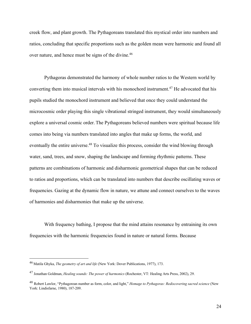creek flow, and plant growth. The Pythagoreans translated this mystical order into numbers and ratios, concluding that specific proportions such as the golden mean were harmonic and found all over nature, and hence must be signs of the divine.<sup>46</sup>

Pythagoras demonstrated the harmony of whole number ratios to the Western world by converting them into musical intervals with his monochord instrument.<sup>47</sup> He advocated that his pupils studied the monochord instrument and believed that once they could understand the microcosmic order playing this single vibrational stringed instrument, they would simultaneously explore a universal cosmic order. The Pythagoreans believed numbers were spiritual because life comes into being via numbers translated into angles that make up forms, the world, and eventually the entire universe.<sup>48</sup> To visualize this process, consider the wind blowing through water, sand, trees, and snow, shaping the landscape and forming rhythmic patterns. These patterns are combinations of harmonic and disharmonic geometrical shapes that can be reduced to ratios and proportions, which can be translated into numbers that describe oscillating waves or frequencies. Gazing at the dynamic flow in nature, we attune and connect ourselves to the waves of harmonies and disharmonies that make up the universe.

With frequency bathing, I propose that the mind attains resonance by entraining its own frequencies with the harmonic frequencies found in nature or natural forms. Because

<sup>46</sup> Matila Ghyka, *The geometry of art and life* (New York: Dover Publications, 1977), 173.

<sup>47</sup> Jonathan Goldman, *Healing sounds: The power of harmonics* (Rochester, VT: Healing Arts Press, 2002), 29.

<sup>48</sup> Robert Lawlor, "Pythagorean number as form, color, and light," *Homage to Pythagoras: Rediscovering sacred science* (New York: Lindisfarne, 1980), 187-209.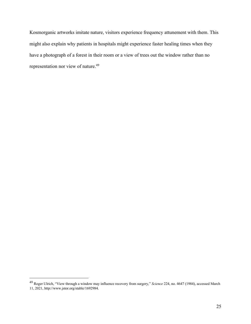Kosmorganic artworks imitate nature, visitors experience frequency attunement with them. This might also explain why patients in hospitals might experience faster healing times when they have a photograph of a forest in their room or a view of trees out the window rather than no representation nor view of nature.49

<sup>49</sup> Roger Ulrich, "View through a window may influence recovery from surgery," *Science* 224, no. 4647 (1984), accessed March 11, 2021, http://www.jstor.org/stable/1692984.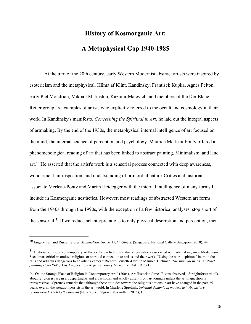# **History of Kosmorganic Art: A Metaphysical Gap 1940-1985**

At the turn of the 20th century, early Western Modernist abstract artists were inspired by esotericism and the metaphysical. Hilma af Klint, Kandinsky, František Kupka, Agnes Pelton, early Piet Mondrian, Mikhail Matiushin, Kazimir Malevich, and members of the Der Blaue Reiter group are examples of artists who explicitly referred to the occult and cosmology in their work. In Kandinsky's manifesto, *Concerning the Spiritual in Art*, he laid out the integral aspects of artmaking. By the end of the 1930s, the metaphysical internal intelligence of art focused on the mind, the internal science of perception and psychology. Maurice Merleau-Ponty offered a phenomenological reading of art that has been linked to abstract painting, Minimalism, and land art.50 He asserted that the artist's work is a sensorial process connected with deep awareness, wonderment, introspection, and understanding of primordial nature. Critics and historians associate Merleau-Ponty and Martin Heidegger with the internal intelligence of many forms I include in Kosmorganic aesthetics. However, most readings of abstracted Western art forms from the 1940s through the 1990s, with the exception of a few historical analyses, stop short of the sensorial.<sup>51</sup> If we reduce art interpretations to only physical description and perception, then

<sup>50</sup> Eugene Tan and Russell Storer, *Minimalism: Space. Light. Object*. (Singapore: National Gallery Singapore, 2018), 44.

<sup>51</sup> Historians critique contemporary art theory for excluding spiritual explanations associated with art-making since Modernism. Secular art criticism omitted religious or spiritual connection to artists and their work. "Using the word 'spiritual' in art in the 30's and 40's was dangerous to an artist's career." Richard Pousette-Dart, in Maurice Tuchman, *The spiritual in art: Abstract painting 1890-1985*, (Los Angeles: Los Angeles County Museum of Art, 1986),18.

In "On the Strange Place of Religion in Contemporary Art," (2004), Art Historian James Elkins observed, "Straightforward talk about religion is rare in art departments and art schools, and wholly absent from art journals unless the art in question is transgressive." Spretnak remarks that although these attitudes toward the religious notions in art have changed in the past 25 years, overall the situation persists in the art world. In Charlene Spretnak, *Spiritual dynamic in modern art: Art history reconsidered, 1800 to the present* (New York: Palgrave Macmillan, 2016), 1.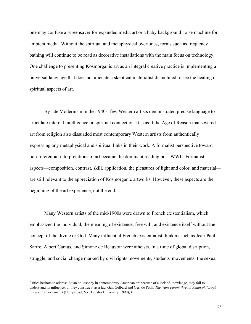one may confuse a screensaver for expanded media art or a baby background noise machine for ambient media. Without the spiritual and metaphysical overtones, forms such as frequency bathing will continue to be read as decorative installations with the main focus on technology. One challenge to presenting Kosmorganic art as an integral creative practice is implementing a universal language that does not alienate a skeptical materialist disinclined to see the healing or spiritual aspects of art.

By late Modernism in the 1940s, few Western artists demonstrated precise language to articulate internal intelligence or spiritual connection. It is as if the Age of Reason that severed art from religion also dissuaded most contemporary Western artists from authentically expressing any metaphysical and spiritual links in their work. A formalist perspective toward non-referential interpretations of art became the dominant reading post-WWII. Formalist aspects—composition, contrast, skill, application, the pleasures of light and color, and material are still relevant to the appreciation of Kosmorganic artworks. However, these aspects are the beginning of the art experience, not the end.

Many Western artists of the mid-1900s were drawn to French existentialism, which emphasized the individual, the meaning of existence, free will, and existence itself without the concept of the divine or God. Many influential French existentialist thinkers such as Jean-Paul Sartre, Albert Camus, and Simone de Beauvoir were atheists. In a time of global disruption, struggle, and social change marked by civil rights movements, students' movements, the sexual

Critics hesitate to address Asian philosophy in contemporary American art because of a lack of knowledge, they fail to understand its influence, or they construe it as a fad. Gail Gelburd and Geri de Paoli, *The trans parent thread: Asian philosophy in recent American art* (Hempstead, NY: Hofstra University, 1990), 4.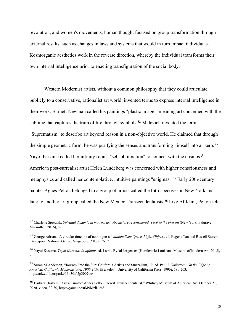revolution, and women's movements, human thought focused on group transformation through external results, such as changes in laws and systems that would in turn impact individuals. Kosmorganic aesthetics work in the reverse direction, whereby the individual transforms their own internal intelligence prior to enacting transfiguration of the social body.

Western Modernist artists, without a common philosophy that they could articulate publicly to a conservative, rationalist art world, invented terms to express internal intelligence in their work. Barnett Newman called his paintings "plastic image," meaning art concerned with the sublime that captures the truth of life through symbols.<sup>52</sup> Malevich invented the term "Suprematism" to describe art beyond reason in a non-objective world. He claimed that through the simple geometric form, he was purifying the senses and transforming himself into a "zero."53 Yayoi Kusama called her infinity rooms "self-obliteration" to connect with the cosmos.<sup>54</sup> American post-surrealist artist Helen Lundeberg was concerned with higher consciousness and metaphysics and called her contemplative, intuitive paintings "enigmas."55 Early 20th-century painter Agnes Pelton belonged to a group of artists called the Introspectives in New York and later to another art group called the New Mexico Transcendentalists.<sup>56</sup> Like Af Klint, Pelton felt

<sup>52</sup> Charlene Spretnak, *Spiritual dynamic in modern art: Art history reconsidered, 1800 to the present* (New York: Palgrave Macmillan, 2016), 87.

<sup>53</sup> George Adrian, "A circular timeline of nothingness," *Minimalism: Space. Light. Object.*, ed. Eugene Tan and Russell Storer, (Singapore: National Gallery Singapore, 2018), 52-57.

<sup>54</sup> Yayoi Kusama, *Yayoi Kusama: In infinity*, ed. Lærke Rydal Jørgensen (Humlebæk: Louisiana Museum of Modern Art, 2015), 9.

<sup>55</sup> Susan M Anderson, "Journey Into the Sun: California Artists and Surrealism," In ed. Paul J. Karlstrom, *On the Edge of America: California Modernist Art, 1900-1950* (Berkeley: University of California Press, 1996), 180-203. http://ark.cdlib.org/ark:/13030/ft5p30070c/

<sup>56</sup> Barbara Haskell, "Ask a Curator: Agnes Pelton: Desert Transcendentalist," Whitney Museum of American Art, October 21, 2020, video, 32:30, https://youtu.be/uM9MziL-6t8.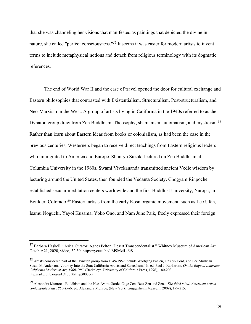that she was channeling her visions that manifested as paintings that depicted the divine in nature, she called "perfect consciousness."57 It seems it was easier for modern artists to invent terms to include metaphysical notions and detach from religious terminology with its dogmatic references.

The end of World War II and the ease of travel opened the door for cultural exchange and Eastern philosophies that contrasted with Existentialism, Structuralism, Post-structuralism, and Neo-Marxism in the West. A group of artists living in California in the 1940s referred to as the Dynaton group drew from Zen Buddhism, Theosophy, shamanism, automatism, and mysticism.<sup>58</sup> Rather than learn about Eastern ideas from books or colonialism, as had been the case in the previous centuries, Westerners began to receive direct teachings from Eastern religious leaders who immigrated to America and Europe. Shunryu Suzuki lectured on Zen Buddhism at Columbia University in the 1960s. Swami Vivekananda transmitted ancient Vedic wisdom by lecturing around the United States, then founded the Vedanta Society. Chogyam Rinpoche established secular meditation centers worldwide and the first Buddhist University, Naropa, in Boulder, Colorado.<sup>59</sup> Eastern artists from the early Kosmorganic movement, such as Lee Ufan, Isamu Noguchi, Yayoi Kusama, Yoko Ono, and Nam June Paik, freely expressed their foreign

<sup>57</sup> Barbara Haskell, "Ask a Curator: Agnes Pelton: Desert Transcendentalist," Whitney Museum of American Art, October 21, 2020, video, 32:30, https://youtu.be/uM9MziL-6t8.

<sup>58</sup> Artists considered part of the Dynaton group from 1949-1952 include Wolfgang Paalen, Onslow Ford, and Lee Mullican. Susan M Anderson, "Journey Into the Sun: California Artists and Surrealism," In ed. Paul J. Karlstrom, *On the Edge of America: California Modernist Art, 1900-1950* (Berkeley: University of California Press, 1996), 180-203. http://ark.cdlib.org/ark:/13030/ft5p30070c/

<sup>59</sup> Alexandra Munroe, "Buddhism and the Neo-Avant-Garde, Cage Zen, Beat Zen and Zen," *The third mind: American artists contemplate Asia 1860-1989,* ed. Alexandra Munroe, (New York: Guggenheim Museum, 2009), 199-215.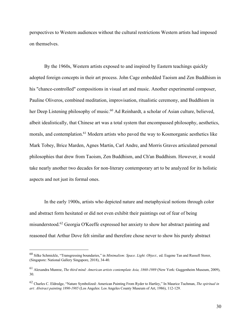perspectives to Western audiences without the cultural restrictions Western artists had imposed on themselves.

By the 1960s, Western artists exposed to and inspired by Eastern teachings quickly adopted foreign concepts in their art process. John Cage embedded Taoism and Zen Buddhism in his "chance-controlled" compositions in visual art and music. Another experimental composer, Pauline Oliveros, combined meditation, improvisation, ritualistic ceremony, and Buddhism in her Deep Listening philosophy of music.<sup>60</sup> Ad Reinhardt, a scholar of Asian culture, believed, albeit idealistically, that Chinese art was a total system that encompassed philosophy, aesthetics, morals, and contemplation.<sup>61</sup> Modern artists who paved the way to Kosmorganic aesthetics like Mark Tobey, Brice Marden, Agnes Martin, Carl Andre, and Morris Graves articulated personal philosophies that drew from Taoism, Zen Buddhism, and Ch'an Buddhism. However, it would take nearly another two decades for non-literary contemporary art to be analyzed for its holistic aspects and not just its formal ones.

In the early 1900s, artists who depicted nature and metaphysical notions through color and abstract form hesitated or did not even exhibit their paintings out of fear of being misunderstood.62 Georgia O'Keeffe expressed her anxiety to show her abstract painting and reasoned that Arthur Dove felt similar and therefore chose never to show his purely abstract

<sup>60</sup> Silke Schmickle, "Transgressing boundaries," in *Minimalism: Space. Light. Object.,* ed. Eugene Tan and Russell Storer, (Singapore: National Gallery Singapore, 2018), 34-40.

<sup>61</sup> Alexandra Munroe, *The third mind: American artists contemplate Asia, 1860-1989* (New York: Guggenheim Museum, 2009), 30.

<sup>62</sup> Charles C. Eldredge, "Nature Symbolized: American Painting From Ryder to Hartley," In Maurice Tuchman, *The spiritual in art: Abstract painting 1890-1985* (Los Angeles: Los Angeles County Museum of Art, 1986), 112-129.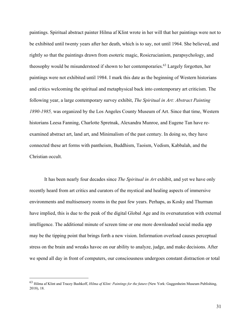paintings. Spiritual abstract painter Hilma af Klint wrote in her will that her paintings were not to be exhibited until twenty years after her death, which is to say, not until 1964. She believed, and rightly so that the paintings drawn from esoteric magic, Rosicrucianism, parapsychology, and theosophy would be misunderstood if shown to her contemporaries.63 Largely forgotten, her paintings were not exhibited until 1984. I mark this date as the beginning of Western historians and critics welcoming the spiritual and metaphysical back into contemporary art criticism. The following year, a large contemporary survey exhibit, *The Spiritual in Art: Abstract Painting 1890-1985,* was organized by the Los Angeles County Museum of Art. Since that time, Western historians Leesa Fanning, Charlotte Spretnak, Alexandra Munroe, and Eugene Tan have reexamined abstract art, land art, and Minimalism of the past century. In doing so, they have connected these art forms with pantheism, Buddhism, Taoism, Vedism, Kabbalah, and the Christian occult.

It has been nearly four decades since *The Spiritual in Art* exhibit, and yet we have only recently heard from art critics and curators of the mystical and healing aspects of immersive environments and multisensory rooms in the past few years. Perhaps, as Kosky and Thurman have implied, this is due to the peak of the digital Global Age and its oversaturation with external intelligence. The additional minute of screen time or one more downloaded social media app may be the tipping point that brings forth a new vision. Information overload causes perceptual stress on the brain and wreaks havoc on our ability to analyze, judge, and make decisions. After we spend all day in front of computers, our consciousness undergoes constant distraction or total

<sup>63</sup> Hilma af Klint and Tracey Bashkoff, *Hilma af Klint: Paintings for the future* (New York: Guggenheim Museum Publishing, 2018), 18.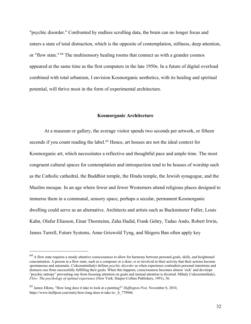"psychic disorder." Confronted by endless scrolling data, the brain can no longer focus and enters a state of total distraction, which is the opposite of contemplation, stillness, deep attention, or "flow state." <sup>64</sup> The multisensory healing rooms that connect us with a grander cosmos appeared at the same time as the first computers in the late 1950s. In a future of digital overload combined with total urbanism, I envision Kosmorganic aesthetics, with its healing and spiritual potential, will thrive most in the form of experimental architecture.

### **Kosmorganic Architecture**

At a museum or gallery, the average visitor spends two seconds per artwork, or fifteen seconds if you count reading the label.<sup>65</sup> Hence, art houses are not the ideal context for Kosmorganic art, which necessitates a reflective and thoughtful pace and ample time. The most congruent cultural spaces for contemplation and introspection tend to be houses of worship such as the Catholic cathedral, the Buddhist temple, the Hindu temple, the Jewish synagogue, and the Muslim mosque. In an age where fewer and fewer Westerners attend religious places designed to immerse them in a communal, sensory space, perhaps a secular, permanent Kosmorganic dwelling could serve as an alternative. Architects and artists such as Buckminster Fuller, Louis Kahn, Olafur Eliasson, Einar Thorsteinn, Zaha Hadid, Frank Gehry, Tadao Ando, Robert Irwin, James Turrell, Future Systems, Anne Griswold Tyng, and Shigeru Ban often apply key

 $64$  A flow state requires a steady attentive consciousness to allow for harmony between personal goals, skills, and heightened concentration. A person in a flow state, such as a composer or a skier, is so involved in their activity that their actions become spontaneous and automatic. Csikszentmihalyi defines *psychic disorder* as when experience contradicts personal intentions and distracts one from successfully fulfilling their goals. When this happens, consciousness becomes almost 'sick' and develops "psychic entropy" preventing one from focusing attention on goals and instead attention is diverted. Mihaly Csikszentmihalyi, *Flow: The psychology of optimal experience* (New York: Harper-Collins Publishers, 1991), 36.

<sup>65</sup> James Elkins, "How long does it take to look at a painting?" *Huffington Post,* November 8, 2010, https://www.huffpost.com/entry/how-long-does-it-take-to- b\_779946.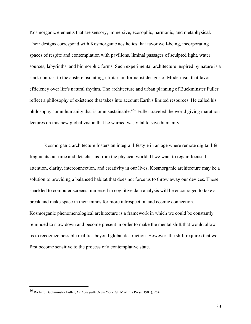Kosmorganic elements that are sensory, immersive, ecosophic, harmonic, and metaphysical. Their designs correspond with Kosmorganic aesthetics that favor well-being, incorporating spaces of respite and contemplation with pavilions, liminal passages of sculpted light, water sources, labyrinths, and biomorphic forms. Such experimental architecture inspired by nature is a stark contrast to the austere, isolating, utilitarian, formalist designs of Modernism that favor efficiency over life's natural rhythm. The architecture and urban planning of Buckminster Fuller reflect a philosophy of existence that takes into account Earth's limited resources. He called his philosophy "omnihumanity that is omnisustainable."66 Fuller traveled the world giving marathon lectures on this new global vision that he warned was vital to save humanity.

Kosmorganic architecture fosters an integral lifestyle in an age where remote digital life fragments our time and detaches us from the physical world. If we want to regain focused attention, clarity, interconnection, and creativity in our lives, Kosmorganic architecture may be a solution to providing a balanced habitat that does not force us to throw away our devices. Those shackled to computer screens immersed in cognitive data analysis will be encouraged to take a break and make space in their minds for more introspection and cosmic connection. Kosmorganic phenomenological architecture is a framework in which we could be constantly reminded to slow down and become present in order to make the mental shift that would allow us to recognize possible realities beyond global destruction. However, the shift requires that we first become sensitive to the process of a contemplative state.

<sup>66</sup> Richard Buckminster Fuller, *Critical path* (New York: St. Martin's Press, 1981), 254.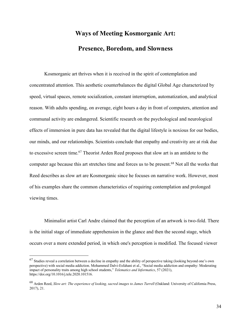# **Ways of Meeting Kosmorganic Art: Presence, Boredom, and Slowness**

Kosmorganic art thrives when it is received in the spirit of contemplation and concentrated attention. This aesthetic counterbalances the digital Global Age characterized by speed, virtual spaces, remote socialization, constant interruption, automatization, and analytical reason. With adults spending, on average, eight hours a day in front of computers, attention and communal activity are endangered. Scientific research on the psychological and neurological effects of immersion in pure data has revealed that the digital lifestyle is noxious for our bodies, our minds, and our relationships. Scientists conclude that empathy and creativity are at risk due to excessive screen time.67 Theorist Arden Reed proposes that slow art is an antidote to the computer age because this art stretches time and forces us to be present.68 Not all the works that Reed describes as slow art are Kosmorganic since he focuses on narrative work. However, most of his examples share the common characteristics of requiring contemplation and prolonged viewing times.

Minimalist artist Carl Andre claimed that the perception of an artwork is two-fold. There is the initial stage of immediate apprehension in the glance and then the second stage, which occurs over a more extended period, in which one's perception is modified. The focused viewer

 $67$  Studies reveal a correlation between a decline in empathy and the ability of perspective taking (looking beyond one's own perspective) with social media addiction. Mohammed Dalvi-Esfahani et al., "Social media addiction and empathy: Moderating impact of personality traits among high school students," *Telematics and Informatics*, 57 (2021), https://doi.org/10.1016/j.tele.2020.101516.

<sup>68</sup> Arden Reed, *Slow art: The experience of looking, sacred images to James Turrell* (Oakland: University of California Press, 2017), 21.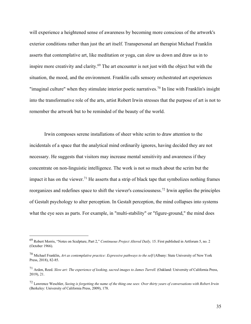will experience a heightened sense of awareness by becoming more conscious of the artwork's exterior conditions rather than just the art itself. Transpersonal art therapist Michael Franklin asserts that contemplative art, like meditation or yoga, can slow us down and draw us in to inspire more creativity and clarity.<sup>69</sup> The art encounter is not just with the object but with the situation, the mood, and the environment. Franklin calls sensory orchestrated art experiences "imaginal culture" when they stimulate interior poetic narratives.<sup>70</sup> In line with Franklin's insight into the transformative role of the arts, artist Robert Irwin stresses that the purpose of art is not to remember the artwork but to be reminded of the beauty of the world.

Irwin composes serene installations of sheer white scrim to draw attention to the incidentals of a space that the analytical mind ordinarily ignores, having decided they are not necessary. He suggests that visitors may increase mental sensitivity and awareness if they concentrate on non-linguistic intelligence. The work is not so much about the scrim but the impact it has on the viewer.<sup>71</sup> He asserts that a strip of black tape that symbolizes nothing frames reorganizes and redefines space to shift the viewer's consciousness.72 Irwin applies the principles of Gestalt psychology to alter perception. In Gestalt perception, the mind collapses into systems what the eye sees as parts. For example, in "multi-stability" or "figure-ground," the mind does

<sup>69</sup> Robert Morris, "Notes on Sculpture, Part 2," *Continuous Project Altered Daily,* 15. First published in Artforum 5, no. 2 (October 1966).

<sup>70</sup> Michael Franklin, *Art as contemplative practice: Expressive pathways to the self* (Albany: State University of New York Press, 2018), 82-85.

<sup>71</sup> Arden, Reed. *Slow art: The experience of looking, sacred images to James Turrell.* (Oakland: University of California Press, 2019), 21.

<sup>72</sup> Lawrence Weschler, *Seeing is forgetting the name of the thing one sees: Over thirty years of conversations with Robert Irwin* (Berkeley: University of California Press, 2009), 178.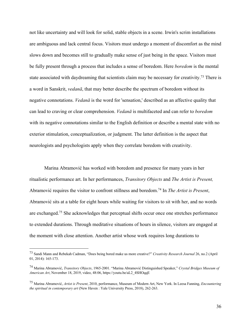not like uncertainty and will look for solid, stable objects in a scene. Irwin's scrim installations are ambiguous and lack central focus. Visitors must undergo a moment of discomfort as the mind slows down and becomes still to gradually make sense of just being in the space. Visitors must be fully present through a process that includes a sense of boredom. Here *boredom* is the mental state associated with daydreaming that scientists claim may be necessary for creativity.<sup>73</sup> There is a word in Sanskrit, *vedanā*, that may better describe the spectrum of boredom without its negative connotations. *Vedanā* is the word for 'sensation,' described as an affective quality that can lead to craving or clear comprehension. *Vedanā* is multifaceted and can refer to *boredom*  with its negative connotations similar to the English definition or describe a mental state with no exterior stimulation, conceptualization, or judgment. The latter definition is the aspect that neurologists and psychologists apply when they correlate boredom with creativity.

Marina Abramović has worked with boredom and presence for many years in her ritualistic performance art. In her performances, *Transitory Objects* and *The Artist is Present,* Abramović requires the visitor to confront stillness and boredom.74 In *The Artist is Present*, Abramović sits at a table for eight hours while waiting for visitors to sit with her, and no words are exchanged.75 She acknowledges that perceptual shifts occur once one stretches performance to extended durations. Through meditative situations of hours in silence, visitors are engaged at the moment with close attention. Another artist whose work requires long durations to

<sup>73</sup> Sandi Mann and Rebekah Cadman, "Does being bored make us more creative?" *Creativity Research Journal* 26, no*.*2 (April 01, 2014): 165-173.

<sup>74</sup> Marina Abramović, *Transitory Objects*, 1965-2001. "Marina Abramović Distinguished Speaker," *Crystal Bridges Museum of American Art*, November 18, 2019, video, 48:06, https://youtu.be/aL2\_4SHOqqE

<sup>75</sup> Marina Abramović, *Artist is Present*, 2010, performance, Museum of Modern Art, New York. In Leesa Fanning, *Encountering the spiritual in contemporary art* (New Haven : Yale University Press, 2018), 262-263.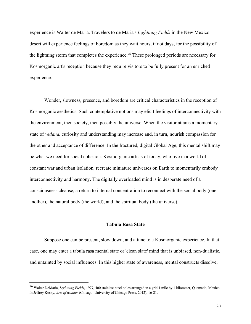experience is Walter de Maria. Travelers to de Maria's *Lightning Fields* in the New Mexico desert will experience feelings of boredom as they wait hours, if not days, for the possibility of the lightning storm that completes the experience.<sup>76</sup> These prolonged periods are necessary for Kosmorganic art's reception because they require visitors to be fully present for an enriched experience.

Wonder, slowness, presence, and boredom are critical characteristics in the reception of Kosmorganic aesthetics. Such contemplative notions may elicit feelings of interconnectivity with the environment, then society, then possibly the universe. When the visitor attains a momentary state of *vedanā,* curiosity and understanding may increase and, in turn, nourish compassion for the other and acceptance of difference. In the fractured, digital Global Age, this mental shift may be what we need for social cohesion. Kosmorganic artists of today, who live in a world of constant war and urban isolation, recreate miniature universes on Earth to momentarily embody interconnectivity and harmony. The digitally overloaded mind is in desperate need of a consciousness cleanse, a return to internal concentration to reconnect with the social body (one another), the natural body (the world), and the spiritual body (the universe).

#### **Tabula Rasa State**

Suppose one can be present, slow down, and attune to a Kosmorganic experience. In that case, one may enter a tabula rasa mental state or 'clean slate' mind that is unbiased, non-dualistic, and untainted by social influences. In this higher state of awareness, mental constructs dissolve,

<sup>76</sup> Walter DeMaria, *Lightning Fields*, 1977, 400 stainless steel poles arranged in a grid 1 mile by 1 kilometer, Quemado, Mexico. In Jeffrey Kosky, *Arts of wonder* (Chicago: University of Chicago Press, 2012), 16-21.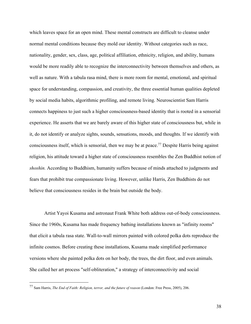which leaves space for an open mind. These mental constructs are difficult to cleanse under normal mental conditions because they mold our identity. Without categories such as race, nationality, gender, sex, class, age, political affiliation, ethnicity, religion, and ability, humans would be more readily able to recognize the interconnectivity between themselves and others, as well as nature. With a tabula rasa mind, there is more room for mental, emotional, and spiritual space for understanding, compassion, and creativity, the three essential human qualities depleted by social media habits, algorithmic profiling, and remote living. Neuroscientist Sam Harris connects happiness to just such a higher consciousness-based identity that is rooted in a sensorial experience. He asserts that we are barely aware of this higher state of consciousness but, while in it, do not identify or analyze sights, sounds, sensations, moods, and thoughts. If we identify with consciousness itself, which is sensorial, then we may be at peace.77 Despite Harris being against religion, his attitude toward a higher state of consciousness resembles the Zen Buddhist notion of *shoshin.* According to Buddhism, humanity suffers because of minds attached to judgments and fears that prohibit true compassionate living. However, unlike Harris, Zen Buddhists do not believe that consciousness resides in the brain but outside the body.

Artist Yayoi Kusama and astronaut Frank White both address out-of-body consciousness. Since the 1960s, Kusama has made frequency bathing installations known as "infinity rooms" that elicit a tabula rasa state. Wall-to-wall mirrors painted with colored polka dots reproduce the infinite cosmos. Before creating these installations, Kusama made simplified performance versions where she painted polka dots on her body, the trees, the dirt floor, and even animals. She called her art process "self-obliteration," a strategy of interconnectivity and social

<sup>77</sup> Sam Harris, *The End of Faith: Religion, terror, and the future of reason* (London: Free Press, 2005), 206.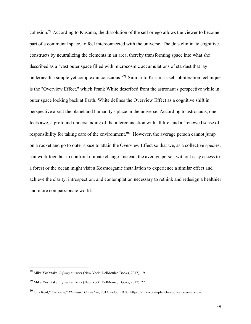cohesion.78 According to Kusama, the dissolution of the self or ego allows the viewer to become part of a communal space, to feel interconnected with the universe. The dots eliminate cognitive constructs by neutralizing the elements in an area, thereby transforming space into what she described as a "vast outer space filled with microcosmic accumulations of stardust that lay underneath a simple yet complex unconscious."79 Similar to Kusama's self-obliteration technique is the "Overview Effect," which Frank White described from the astronaut's perspective while in outer space looking back at Earth. White defines the Overview Effect as a cognitive shift in perspective about the planet and humanity's place in the universe. According to astronauts, one feels awe, a profound understanding of the interconnection with all life, and a "renewed sense of responsibility for taking care of the environment."80 However, the average person cannot jump on a rocket and go to outer space to attain the Overview Effect so that we, as a collective species, can work together to confront climate change. Instead, the average person without easy access to a forest or the ocean might visit a Kosmorganic installation to experience a similar effect and achieve the clarity, introspection, and contemplation necessary to rethink and redesign a healthier and more compassionate world.

<sup>78</sup> Mika Yoshitake, *Infinity mirrors* (New York: DelMonico Books, 2017), 19.

<sup>79</sup> Mika Yoshitake, *Infinity mirrors* (New York: DelMonico Books, 2017), 27.

<sup>80</sup> Guy Reid,"Overview," *Planetary Collective*, 2013, video, 19:00, https://vimeo.com/planetarycollective/overview.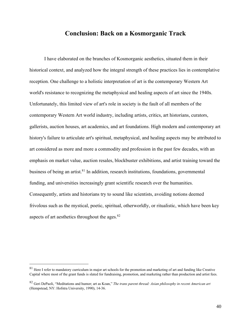# **Conclusion: Back on a Kosmorganic Track**

I have elaborated on the branches of Kosmorganic aesthetics, situated them in their historical context, and analyzed how the integral strength of these practices lies in contemplative reception. One challenge to a holistic interpretation of art is the contemporary Western Art world's resistance to recognizing the metaphysical and healing aspects of art since the 1940s. Unfortunately, this limited view of art's role in society is the fault of all members of the contemporary Western Art world industry, including artists, critics, art historians, curators, gallerists, auction houses, art academics, and art foundations. High modern and contemporary art history's failure to articulate art's spiritual, metaphysical, and healing aspects may be attributed to art considered as more and more a commodity and profession in the past few decades, with an emphasis on market value, auction resales, blockbuster exhibitions, and artist training toward the business of being an artist.<sup>81</sup> In addition, research institutions, foundations, governmental funding, and universities increasingly grant scientific research over the humanities. Consequently, artists and historians try to sound like scientists, avoiding notions deemed frivolous such as the mystical, poetic, spiritual, otherworldly, or ritualistic, which have been key aspects of art aesthetics throughout the ages.82

 $81$  Here I refer to mandatory curriculum in major art schools for the promotion and marketing of art and funding like Creative Capital where most of the grant funds is slated for fundraising, promotion, and marketing rather than production and artist fees.

<sup>82</sup> Geri DePaoli, "Meditations and humor; art as Koan," *The trans parent thread: Asian philosophy in recent American art* (Hempstead, NY: Hofstra University, 1990), 14-36.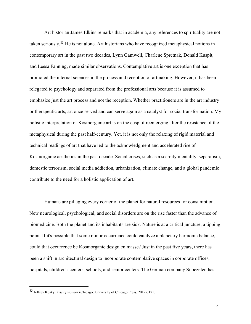Art historian James Elkins remarks that in academia, any references to spirituality are not taken seriously*.* <sup>83</sup> He is not alone. Art historians who have recognized metaphysical notions in contemporary art in the past two decades, Lynn Gamwell, Charlene Spretnak, Donald Kuspit, and Leesa Fanning, made similar observations. Contemplative art is one exception that has promoted the internal sciences in the process and reception of artmaking. However, it has been relegated to psychology and separated from the professional arts because it is assumed to emphasize just the art process and not the reception. Whether practitioners are in the art industry or therapeutic arts, art once served and can serve again as a catalyst for social transformation. My holistic interpretation of Kosmorganic art is on the cusp of reemerging after the resistance of the metaphysical during the past half-century. Yet, it is not only the relaxing of rigid material and technical readings of art that have led to the acknowledgment and accelerated rise of Kosmorganic aesthetics in the past decade. Social crises, such as a scarcity mentality, separatism, domestic terrorism, social media addiction, urbanization, climate change, and a global pandemic contribute to the need for a holistic application of art.

Humans are pillaging every corner of the planet for natural resources for consumption. New neurological, psychological, and social disorders are on the rise faster than the advance of biomedicine. Both the planet and its inhabitants are sick. Nature is at a critical juncture, a tipping point. If it's possible that some minor occurrence could catalyze a planetary harmonic balance, could that occurrence be Kosmorganic design en masse? Just in the past five years, there has been a shift in architectural design to incorporate contemplative spaces in corporate offices, hospitals, children's centers, schools, and senior centers. The German company Snoezelen has

<sup>83</sup> Jeffrey Kosky, *Arts of wonder* (Chicago: University of Chicago Press, 2012), 171.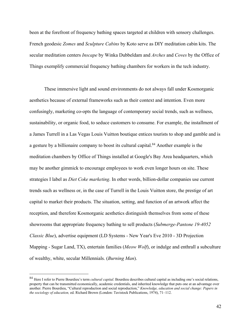been at the forefront of frequency bathing spaces targeted at children with sensory challenges. French geodesic *Zomes* and *Sculpture Cabins* by Koto serve as DIY meditation cabin kits. The secular meditation centers *Inscape* by Winka Dubbeldam and *Arches* and *Coves* by the Office of Things exemplify commercial frequency bathing chambers for workers in the tech industry.

These immersive light and sound environments do not always fall under Kosmorganic aesthetics because of external frameworks such as their context and intention. Even more confusingly, marketing co-opts the language of contemporary social trends, such as wellness, sustainability, or organic food, to seduce customers to consume. For example, the installment of a James Turrell in a Las Vegas Louis Vuitton boutique entices tourists to shop and gamble and is a gesture by a billionaire company to boost its cultural capital.<sup>84</sup> Another example is the meditation chambers by Office of Things installed at Google's Bay Area headquarters, which may be another gimmick to encourage employees to work even longer hours on site. These strategies I label as *Diet Coke marketing*. In other words, billion-dollar companies use current trends such as wellness or, in the case of Turrell in the Louis Vuitton store, the prestige of art capital to market their products. The situation, setting, and function of an artwork affect the reception, and therefore Kosmorganic aesthetics distinguish themselves from some of these showrooms that appropriate frequency bathing to sell products (*Submerge-Pantone 19-4052 Classic Blue*), advertise equipment (LD Systems - New Year's Eve 2010 - 3D Projection Mapping - Sugar Land, TX), entertain families (*Meow Wolf*), or indulge and enthrall a subculture of wealthy, white, secular Millennials. (*Burning Man*).

<sup>84</sup> Here I refer to Pierre Bourdieu's term *cultural capital*. Bourdieu describes cultural capital as including one's social relations, property that can be transmitted economically, academic credentials, and inherited knowledge that puts one at an advantage over another. Pierre Bourdieu, "Cultural reproduction and social reproduction," *Knowledge, education and social change: Papers in the sociology of education,* ed. Richard Brown (London: Tavistock Publications, 1974), 71–112.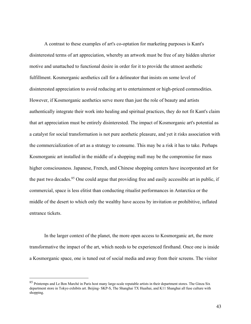A contrast to these examples of art's co-optation for marketing purposes is Kant's disinterested terms of art appreciation, whereby an artwork must be free of any hidden ulterior motive and unattached to functional desire in order for it to provide the utmost aesthetic fulfillment. Kosmorganic aesthetics call for a delineator that insists on some level of disinterested appreciation to avoid reducing art to entertainment or high-priced commodities. However, if Kosmorganic aesthetics serve more than just the role of beauty and artists authentically integrate their work into healing and spiritual practices, they do not fit Kant's claim that art appreciation must be entirely disinterested. The impact of Kosmorganic art's potential as a catalyst for social transformation is not pure aesthetic pleasure, and yet it risks association with the commercialization of art as a strategy to consume. This may be a risk it has to take. Perhaps Kosmorganic art installed in the middle of a shopping mall may be the compromise for mass higher consciousness. Japanese, French, and Chinese shopping centers have incorporated art for the past two decades.<sup>85</sup> One could argue that providing free and easily accessible art in public, if commercial, space is less elitist than conducting ritualist performances in Antarctica or the middle of the desert to which only the wealthy have access by invitation or prohibitive, inflated entrance tickets.

In the larger context of the planet, the more open access to Kosmorganic art, the more transformative the impact of the art, which needs to be experienced firsthand. Once one is inside a Kosmorganic space, one is tuned out of social media and away from their screens. The visitor

<sup>&</sup>lt;sup>85</sup> Printemps and Le Bon Marché in Paris host many large-scale reputable artists in their department stores. The Ginza Six department store in Tokyo exhibits art. Beijing- SKP-S, The Shanghai TX Huaihai, and K11 Shanghai all fuse culture with shopping.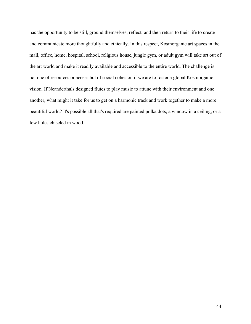has the opportunity to be still, ground themselves, reflect, and then return to their life to create and communicate more thoughtfully and ethically. In this respect, Kosmorganic art spaces in the mall, office, home, hospital, school, religious house, jungle gym, or adult gym will take art out of the art world and make it readily available and accessible to the entire world. The challenge is not one of resources or access but of social cohesion if we are to foster a global Kosmorganic vision. If Neanderthals designed flutes to play music to attune with their environment and one another, what might it take for us to get on a harmonic track and work together to make a more beautiful world? It's possible all that's required are painted polka dots, a window in a ceiling, or a few holes chiseled in wood.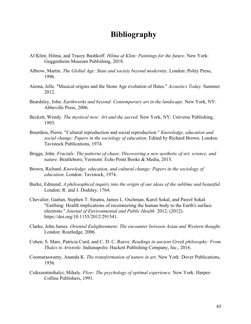# **Bibliography**

- Af Klint, Hilma, and Tracey Bashkoff. *Hilma af Klint: Paintings for the future*. New York: Guggenheim Museum Publishing, 2018.
- Albrow, Martin. *The Global Age: State and society beyond modernity*. London: Polity Press, 1996.
- Atema, Jelle. "Musical origins and the Stone Age evolution of flutes." *Acoustics Today.* Summer 2012.
- Beardsley, John. *Earthworks and beyond: Contemporary art in the landscape*. New York, NY: Abbeville Press, 2006.
- Beckett, Wendy. *The mystical now: Art and the sacred*. New York, NY: Universe Publishing, 1993.
- Bourdieu, Pierre. "Cultural reproduction and social reproduction." *Knowledge, education and social change: Papers in the sociology of education*. Edited by Richard Brown. London: Tavistock Publications, 1974.
- Briggs, John. *Fractals: The patterns of chaos: Discovering a new aesthetic of art, science, and nature*. Brattleboro, Vermont: Echo Point Books & Media, 2015.
- Brown, Richard. *Knowledge, education, and cultural change: Papers in the sociology of education*. London: Tavistock, 1974.
- Burke, Edmund. *A philosophical inquiry into the origin of our ideas of the sublime and beautiful*. London: R. and J. Dodsley, 1764.
- Chevalier, Gaétan, Stephen T. Sinatra, James L. Oschman, Karol Sokal, and Pawel Sokal. "Earthing: Health implications of reconnecting the human body to the Earth's surface electrons." *Journal of Environmental and Public Health* 2012, (2012). https://doi.org/10.1155/2012/291541.
- Clarke, John James. *Oriental Enlightenment: The encounter between Asian and Western thought*. London: Routledge, 2006.
- Cohen, S. Marc, Patricia Curd, and C. D. C. Reeve. *Readings in ancient Greek philosophy: From Thales to Aristotle*. Indianapolis: Hackett Publishing Company, Inc., 2016.
- Coomaraswamy, Ananda K. *The transformation of nature in art*. New York: Dover Publications, 1956.
- Csikszentmihalyi, Mihaly. *Flow: The psychology of optimal experience*. New York: Harper-Collins Publishers, 1991.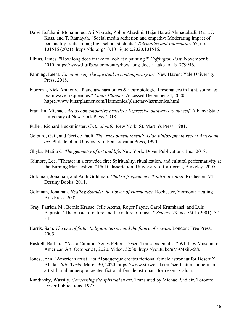- Dalvi-Esfahani, Mohammed, Ali Niknafs, Zohre Alaedini, Hajar Barati Ahmadabadi, Daria J. Kuss, and T. Ramayah. "Social media addiction and empathy: Moderating impact of personality traits among high school students." *Telematics and Informatics* 57, no. 101516 (2021). https://doi.org/10.1016/j.tele.2020.101516.
- Elkins, James. "How long does it take to look at a painting?" *Huffington Post*, November 8, 2010. https://www.huffpost.com/entry/how-long-does-it-take-to-\_b\_779946.
- Fanning, Leesa. *Encountering the spiritual in contemporary art.* New Haven: Yale University Press, 2018.
- Fiorenza, Nick Anthony. "Planetary harmonics & neurobiological resonances in light, sound, & brain wave frequencies." *Lunar Planner.* Accessed December 24, 2020. https://www.lunarplanner.com/Harmonics/planetary-harmonics.html.
- Franklin, Michael. *Art as contemplative practice: Expressive pathways to the self*. Albany: State University of New York Press, 2018.
- Fuller, Richard Buckminster. *Critical path*. New York: St. Martin's Press, 1981.
- Gelburd, Gail, and Geri de Paoli. *The trans parent thread: Asian philosophy in recent American art*. Philadelphia: University of Pennsylvania Press, 1990.
- Ghyka, Matila C. *The geometry of art and life*. New York: Dover Publications, Inc., 2018.
- Gilmore, Lee. "Theater in a crowded fire: Spirituality, ritualization, and cultural performativity at the Burning Man festival." Ph.D. dissertation, University of California, Berkeley, 2005.
- Goldman, Jonathan, and Andi Goldman. *Chakra frequencies: Tantra of sound*. Rochester, VT: Destiny Books, 2011.
- Goldman, Jonathan. *Healing Sounds: the Power of Harmonics*. Rochester, Vermont: Healing Arts Press, 2002.
- Gray, Patricia M., Bernie Krause, Jelle Atema, Roger Payne, Carol Krumhansl, and Luis Baptista. "The music of nature and the nature of music." *Science* 29, no. 5501 (2001): 52- 54.
- Harris, Sam. *The end of faith: Religion, terror, and the future of reason*. London: Free Press, 2005.
- Haskell, Barbara. "Ask a Curator: Agnes Pelton: Desert Transcendentalist." Whitney Museum of American Art. October 21, 2020. Video, 32:30. https://youtu.be/uM9MziL-6t8.
- Jones, John. "American artist Lita Albuquerque creates fictional female astronaut for Desert X AlUla." *Stir World.* March 30, 2020. https://www.stirworld.com/see-features-americanartist-lita-albuquerque-creates-fictional-female-astronaut-for-desert-x-alula.
- Kandinsky, Wassily. *Concerning the spiritual in art*. Translated by Michael Sadleir. Toronto: Dover Publications, 1977.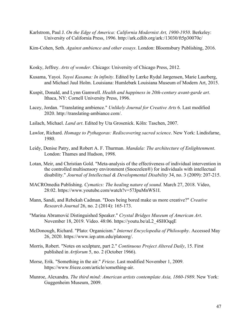- Karlstrom, Paul J. *On the Edge of America: California Modernist Art, 1900-1950*. Berkeley: University of California Press, 1996. http://ark.cdlib.org/ark:/13030/ft5p30070c/
- Kim-Cohen, Seth. *Against ambience and other essays*. London: Bloomsbury Publishing, 2016.
- Kosky, Jeffrey. *Arts of wonder*. Chicago: University of Chicago Press, 2012.
- Kusama, Yayoi. *Yayoi Kusama: In infinity*. Edited by Lærke Rydal Jørgensen, Marie Laurberg, and Michael Juul Holm. Louisiana: Humlebæk Louisiana Museum of Modern Art, 2015.
- Kuspit, Donald, and Lynn Gamwell. *Health and happiness in 20th-century avant-garde art*. Ithaca, NY: Cornell University Press, 1996.
- Lacey, Jordan. "Translating ambience." *Unlikely Journal for Creative Arts* 6. Last modified 2020. http://translating-ambiance.com/.
- Lailach, Michael. *Land art*. Edited by Uta Grosenick. Köln: Taschen, 2007.
- Lawlor, Richard. *Homage to Pythagoras: Rediscovering sacred science*. New York: Lindisfarne, 1980.
- Leidy, Denise Patry, and Robert A. F. Thurman. *Mandala: The architecture of Enlightenment*. London: Thames and Hudson, 1998.
- Lotan, Meir, and Christian Gold. "Meta-analysis of the effectiveness of individual intervention in the controlled multisensory environment (Snoezelen®) for individuals with intellectual disability." *Journal of Intellectual & Developmental Disability* 34, no. 3 (2009): 207-215.
- MACROmedia Publishing. *Cymatics: The healing nature of sound.* March 27, 2018. Video, 28:02. https://www.youtube.com/watch?v=57JpuMnWS1I.
- Mann, Sandi, and Rebekah Cadman. "Does being bored make us more creative?" *Creative Research Journal* 26, no. 2 (2014): 165-173.
- "Marina Abramović Distinguished Speaker." *Crystal Bridges Museum of American Art*. November 18, 2019. Video. 48:06. https://youtu.be/aL2\_4SHOqqE
- McDonough, Richard. "Plato: Organicism." *Internet Encyclopedia of Philosophy*. Accessed May 26, 2020. https://www.iep.utm.edu/platoorg/.
- Morris, Robert. "Notes on sculpture, part 2." *Continuous Project Altered Daily*, 15. First published in *Artforum* 5, no. 2 (October 1966).
- Morse, Erik. "Something in the air." *Frieze*. Last modified November 1, 2009. https://www.frieze.com/article/something-air.
- Munroe, Alexandra. *The third mind: American artists contemplate Asia, 1860-1989*. New York: Guggenheim Museum, 2009.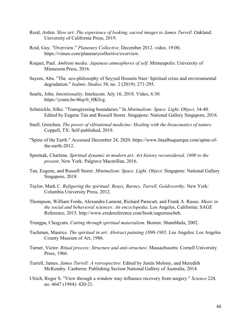- Reed, Arden. *Slow art: The experience of looking, sacred images to James Turrell*. Oakland: University of California Press, 2019.
- Reid, Guy. "Overview." *Planetary Collective*. December 2012. video, 19:00, https://vimeo.com/planetarycollective/overview.
- Roquet, Paul. *Ambient media: Japanese atmospheres of self*. Minneapolis: University of Minnesota Press, 2016.
- Sayem, Abu. "The eco-philosophy of Seyyed Hossein Nasr: Spiritual crisis and environmental degradation." *Isalmic Studies* 58, no. 2 (2019): 271-295.
- Searle, John. *Intentionality.* Intelecom. July 16, 2018. Video, 6:30. https://youtu.be/46qvb\_HKIvg.
- Schmickle, Silke. "Transgressing boundaries." In *Minimalism: Space. Light. Object,* 34-40. Edited by Eugene Tan and Russell Storer. Singapore: National Gallery Singapore, 2018.
- Snell, Gretchen. *The power of vibrational medicine: Healing with the bioacoustics of nature.* Coppell, TX: Self-published, 2019.
- "Spine of the Earth." Accessed December 24, 2020. https://www.litaalbuquerque.com/spine-ofthe-earth-2012.
- Spretnak, Charlene. *Spiritual dynamic in modern art: Art history reconsidered, 1800 to the present*. New York: Palgrave Macmillan, 2016.
- Tan, Eugene, and Russell Storer. *Minimalism: Space. Light. Object*. Singapore: National Gallery Singapore, 2018.
- Taylor, Mark C. *Refiguring the spiritual: Beuys, Barney, Turrell, Goldsworthy*. New York: Columbia University Press, 2012.
- Thompson, William Forde, Alexandra Lamont, Richard Parncutt, and Frank A. Russo. *Music in the social and behavioral sciences: An encyclopedia*. Los Angeles, California: SAGE Reference, 2015. http://www.credoreference.com/book/sagemuscbeh.
- Trungpa, Chogyam. *Cutting through spiritual materialism*. Boston: Shambhala, 2002.
- Tuchman, Maurice. *The spiritual in art: Abstract painting 1890-1985.* Los Angeles: Los Angeles County Museum of Art, 1986.
- Turner, Victor. *Ritual process: Structure and anti-structure*. Massachusetts: Cornell University Press, 1966.
- Turrell, James. *James Turrell: A retrospective*. Edited by Justin Molony, and Meredith McKendry. Canberra: Publishing Section National Gallery of Australia, 2014.
- Ulrich, Roger S. "View through a window may influence recovery from surgery." *Science* 224, no. 4647 (1984): 420-21.